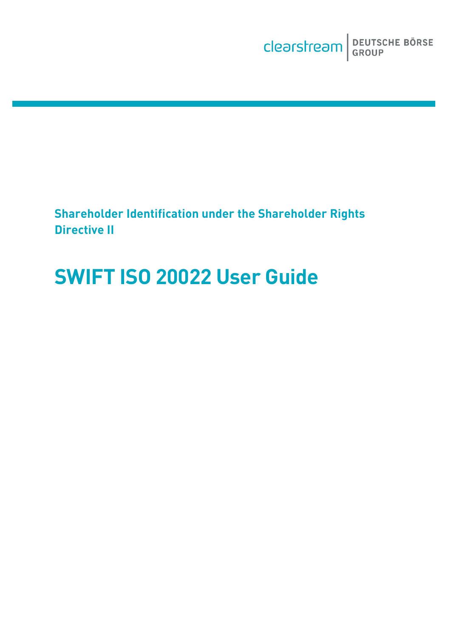**Shareholder Identification under the Shareholder Rights Directive II**

# **SWIFT ISO 20022 User Guide**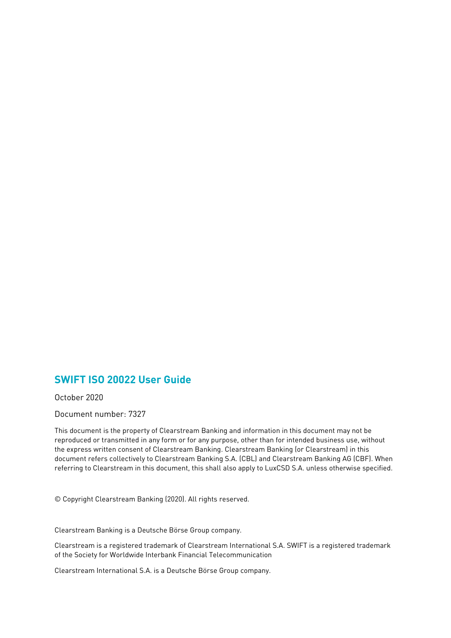#### **SWIFT ISO 20022 User Guide**

October 2020

Document number: 7327

This document is the property of Clearstream Banking and information in this document may not be reproduced or transmitted in any form or for any purpose, other than for intended business use, without the express written consent of Clearstream Banking. Clearstream Banking (or Clearstream) in this document refers collectively to Clearstream Banking S.A. (CBL) and Clearstream Banking AG (CBF). When referring to Clearstream in this document, this shall also apply to LuxCSD S.A. unless otherwise specified.

© Copyright Clearstream Banking (2020). All rights reserved.

Clearstream Banking is a Deutsche Börse Group company.

Clearstream is a registered trademark of Clearstream International S.A. SWIFT is a registered trademark of the Society for Worldwide Interbank Financial Telecommunication

<span id="page-1-0"></span>Clearstream International S.A. is a Deutsche Börse Group company.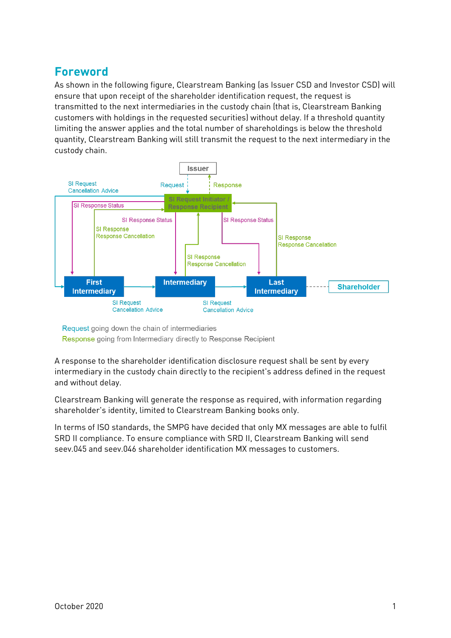## **Foreword**

As shown in the following figure, Clearstream Banking (as Issuer CSD and Investor CSD) will ensure that upon receipt of the shareholder identification request, the request is transmitted to the next intermediaries in the custody chain (that is, Clearstream Banking customers with holdings in the requested securities) without delay. If a threshold quantity limiting the answer applies and the total number of shareholdings is below the threshold quantity, Clearstream Banking will still transmit the request to the next intermediary in the custody chain.



Request going down the chain of intermediaries Response going from Intermediary directly to Response Recipient

A response to the shareholder identification disclosure request shall be sent by every intermediary in the custody chain directly to the recipient's address defined in the request and without delay.

Clearstream Banking will generate the response as required, with information regarding shareholder's identity, limited to Clearstream Banking books only.

In terms of ISO standards, the SMPG have decided that only MX messages are able to fulfil SRD II compliance. To ensure compliance with SRD II, Clearstream Banking will send seev.045 and seev.046 shareholder identification MX messages to customers.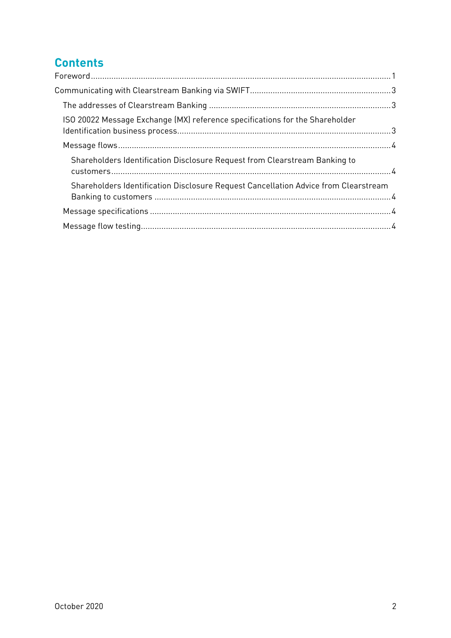# **Contents**

| ISO 20022 Message Exchange (MX) reference specifications for the Shareholder        |  |
|-------------------------------------------------------------------------------------|--|
|                                                                                     |  |
| Shareholders Identification Disclosure Request from Clearstream Banking to          |  |
| Shareholders Identification Disclosure Request Cancellation Advice from Clearstream |  |
|                                                                                     |  |
|                                                                                     |  |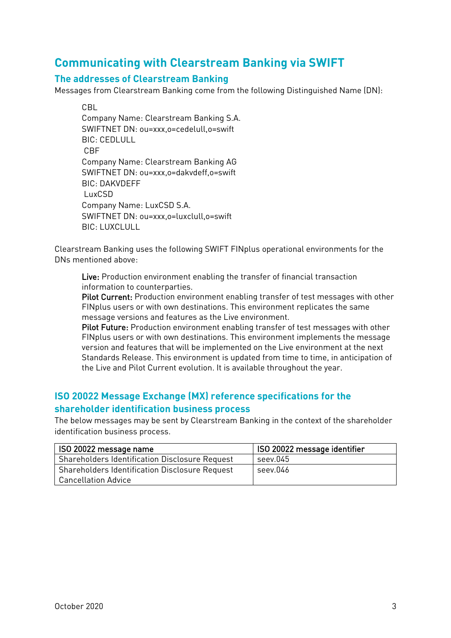### <span id="page-4-0"></span>**Communicating with Clearstream Banking via SWIFT**

#### <span id="page-4-1"></span>**The addresses of Clearstream Banking**

Messages from Clearstream Banking come from the following Distinguished Name (DN):

CBL Company Name: Clearstream Banking S.A. SWIFTNET DN: ou=xxx,o=cedelull,o=swift BIC: CFDLULL CBF Company Name: Clearstream Banking AG SWIFTNET DN: ou=xxx,o=dakvdeff,o=swift BIC: DAKVDEFF LuxCSD Company Name: LuxCSD S.A. SWIFTNET DN: ou=xxx,o=luxclull,o=swift BIC: LUXCLULL

Clearstream Banking uses the following SWIFT FINplus operational environments for the DNs mentioned above:

Live: Production environment enabling the transfer of financial transaction information to counterparties.

Pilot Current: Production environment enabling transfer of test messages with other FINplus users or with own destinations. This environment replicates the same message versions and features as the Live environment.

Pilot Future: Production environment enabling transfer of test messages with other FINplus users or with own destinations. This environment implements the message version and features that will be implemented on the Live environment at the next Standards Release. This environment is updated from time to time, in anticipation of the Live and Pilot Current evolution. It is available throughout the year.

#### <span id="page-4-2"></span>**ISO 20022 Message Exchange (MX) reference specifications for the shareholder identification business process**

The below messages may be sent by Clearstream Banking in the context of the shareholder identification business process.

<span id="page-4-3"></span>

| ISO 20022 message name                                | ISO 20022 message identifier |
|-------------------------------------------------------|------------------------------|
| <b>Shareholders Identification Disclosure Request</b> | seev.045                     |
| <b>Shareholders Identification Disclosure Request</b> | seev.046                     |
| Cancellation Advice                                   |                              |